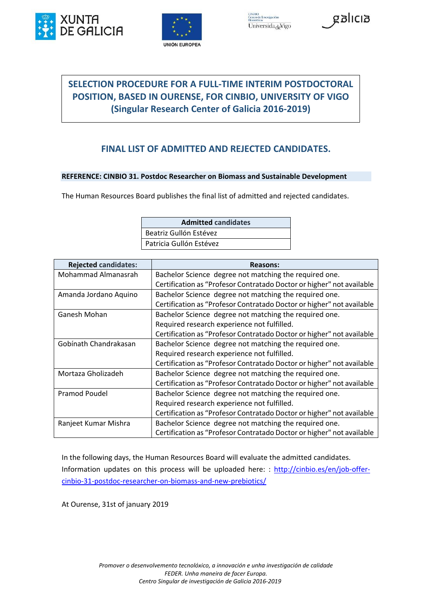





## **SELECTION PROCEDURE FOR A FULL-TIME INTERIM POSTDOCTORAL POSITION, BASED IN OURENSE, FOR CINBIO, UNIVERSITY OF VIGO (Singular Research Center of Galicia 2016-2019)**

## **FINAL LIST OF ADMITTED AND REJECTED CANDIDATES.**

## **REFERENCE: CINBIO 31. Postdoc Researcher on Biomass and Sustainable Development**

The Human Resources Board publishes the final list of admitted and rejected candidates.

| <b>Admitted candidates</b> |
|----------------------------|
| Beatriz Gullón Estévez     |
| Patricia Gullón Estévez    |

| <b>Rejected candidates:</b> | <b>Reasons:</b>                                                       |
|-----------------------------|-----------------------------------------------------------------------|
| Mohammad Almanasrah         | Bachelor Science degree not matching the required one.                |
|                             | Certification as "Profesor Contratado Doctor or higher" not available |
| Amanda Jordano Aquino       | Bachelor Science degree not matching the required one.                |
|                             | Certification as "Profesor Contratado Doctor or higher" not available |
| Ganesh Mohan                | Bachelor Science degree not matching the required one.                |
|                             | Required research experience not fulfilled.                           |
|                             | Certification as "Profesor Contratado Doctor or higher" not available |
| Gobínath Chandrakasan       | Bachelor Science degree not matching the required one.                |
|                             | Required research experience not fulfilled.                           |
|                             | Certification as "Profesor Contratado Doctor or higher" not available |
| Mortaza Gholizadeh          | Bachelor Science degree not matching the required one.                |
|                             | Certification as "Profesor Contratado Doctor or higher" not available |
| Pramod Poudel               | Bachelor Science degree not matching the required one.                |
|                             | Required research experience not fulfilled.                           |
|                             | Certification as "Profesor Contratado Doctor or higher" not available |
| Ranjeet Kumar Mishra        | Bachelor Science degree not matching the required one.                |
|                             | Certification as "Profesor Contratado Doctor or higher" not available |

In the following days, the Human Resources Board will evaluate the admitted candidates. Information updates on this process will be uploaded here: : [http://cinbio.es/en/job-offer](http://cinbio.es/en/job-offer-cinbio-31-postdoc-researcher-on-biomass-and-new-prebiotics/)[cinbio-31-postdoc-researcher-on-biomass-and-new-prebiotics/](http://cinbio.es/en/job-offer-cinbio-31-postdoc-researcher-on-biomass-and-new-prebiotics/)

At Ourense, 31st of january 2019